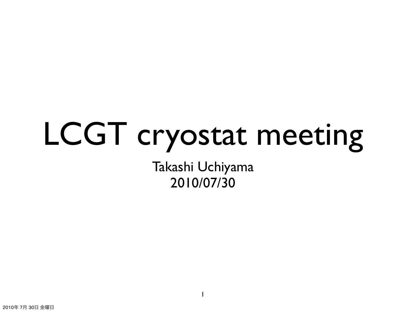## LCGT cryostat meeting

Takashi Uchiyama 2010/07/30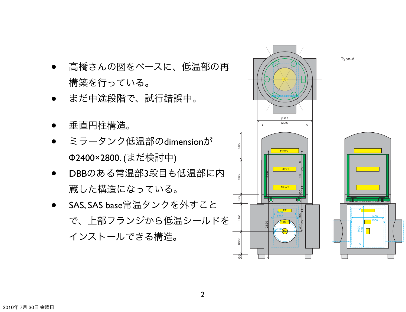

- まだ中途段階で、試行錯誤中。
- 垂直円柱構造。
- ミラータンク低温部のdimension<sup>が</sup> Φ2400×2800. (まだ検討中)
- DBBのある常温部3段目も低温部に内 蔵した構造になっている。
- SAS, SAS base常温タンクを外すこと で、上部フランジから低温シールドを インストールできる構造。

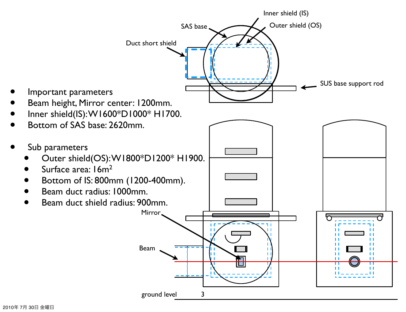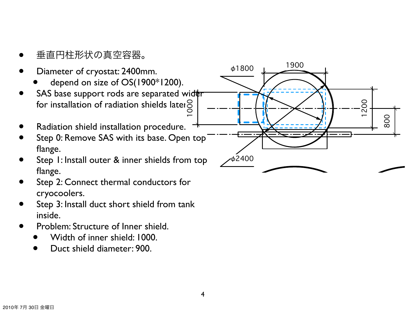- 
- 
- 垂直円柱形状の真空容器。<br>
 Diameter of cryostat: 2400mm.<br>
 depend on size of OS(1900\*1200).<br>
SAS base support rods are separated wid‡r
- for installation of radiation shields later $\bigcirc \limits^{\textstyle \bigcirc}_{\textstyle \sim}$
- 
- Radiation shield installation procedure.  $+$ <br>Step 0: Remove SAS with its base. Open top flange.
- Step 1: Install outer & inner shields from top flange.
- Step 2: Connect thermal conductors for cryocoolers.
- Step 3: Install duct short shield from tank inside.
- **Problem: Structure of Inner shield.<br>• Width of inner shield: 1000.<br>• Duct shield diameter: 900.** 
	-
	-

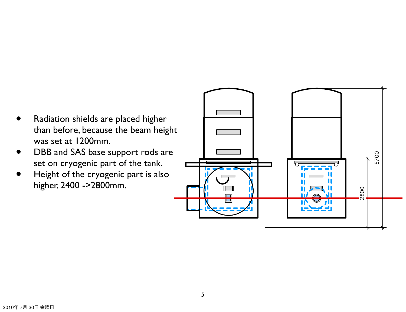- Radiation shields are placed higher than before, because the beam height was set at 1200mm.
- DBB and SAS base support rods are set on cryogenic part of the tank.
- Height of the cryogenic part is also higher, 2400 ->2800mm.